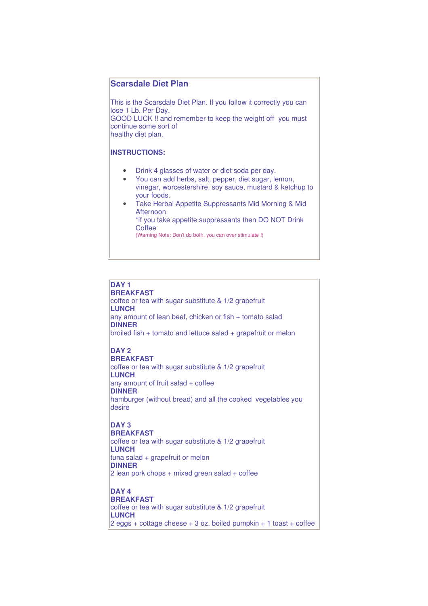## **Scarsdale Diet Plan**

This is the Scarsdale Diet Plan. If you follow it correctly you can lose 1 Lb. Per Day. GOOD LUCK !! and remember to keep the weight off you must continue some sort of healthy diet plan.

#### **INSTRUCTIONS:**

- Drink 4 glasses of water or diet soda per day.
- You can add herbs, salt, pepper, diet sugar, lemon, vinegar, worcestershire, soy sauce, mustard & ketchup to your foods.
- Take Herbal Appetite Suppressants Mid Morning & Mid Afternoon \*if you take appetite suppressants then DO NOT Drink **Coffee**

(Warning Note: Don't do both, you can over stimulate !)

# **DAY 1**

**BREAKFAST**

coffee or tea with sugar substitute & 1/2 grapefruit **LUNCH** any amount of lean beef, chicken or fish + tomato salad **DINNER** broiled fish + tomato and lettuce salad + grapefruit or melon

#### **DAY 2 BREAKFAST**

coffee or tea with sugar substitute & 1/2 grapefruit **LUNCH** any amount of fruit salad + coffee **DINNER** hamburger (without bread) and all the cooked vegetables you desire

## **DAY 3**

**BREAKFAST** coffee or tea with sugar substitute & 1/2 grapefruit **LUNCH** tuna salad + grapefruit or melon **DINNER**  $2$  lean pork chops + mixed green salad + coffee

### **DAY 4**

**BREAKFAST** coffee or tea with sugar substitute & 1/2 grapefruit **LUNCH**  $2$  eggs + cottage cheese + 3 oz. boiled pumpkin + 1 toast + coffee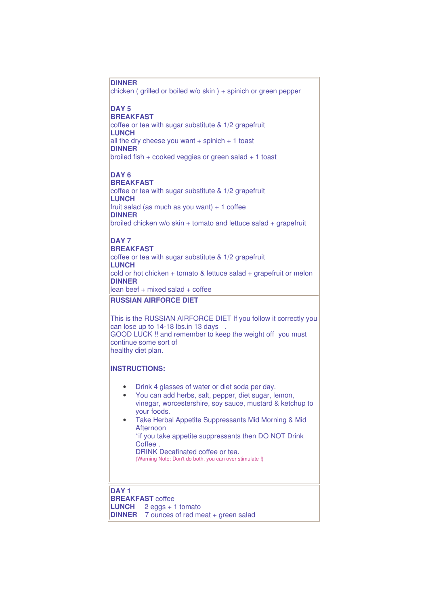**DINNER**

chicken ( grilled or boiled w/o skin ) + spinich or green pepper

## **DAY 5**

**BREAKFAST**

coffee or tea with sugar substitute & 1/2 grapefruit **LUNCH** all the dry cheese you want  $+$  spinich  $+1$  toast **DINNER** broiled fish  $+$  cooked veggies or green salad  $+1$  toast

## **DAY 6**

**BREAKFAST** coffee or tea with sugar substitute & 1/2 grapefruit **LUNCH** fruit salad (as much as you want)  $+1$  coffee **DINNER** broiled chicken w/o skin + tomato and lettuce salad + grapefruit

## **DAY 7**

**BREAKFAST** coffee or tea with sugar substitute & 1/2 grapefruit **LUNCH** cold or hot chicken + tomato & lettuce salad + grapefruit or melon **DINNER** llean beef + mixed salad + coffee

## **RUSSIAN AIRFORCE DIET**

This is the RUSSIAN AIRFORCE DIET If you follow it correctly you  $\vert$ can lose up to 14-18 lbs.in 13 days . GOOD LUCK !! and remember to keep the weight off you must continue some sort of healthy diet plan.

### **INSTRUCTIONS:**

- Drink 4 glasses of water or diet soda per day.
- You can add herbs, salt, pepper, diet sugar, lemon, vinegar, worcestershire, soy sauce, mustard & ketchup to your foods.
- Take Herbal Appetite Suppressants Mid Morning & Mid Afternoon

\*if you take appetite suppressants then DO NOT Drink Coffee ,

DRINK Decafinated coffee or tea.

(Warning Note: Don't do both, you can over stimulate !)

**DAY 1 BREAKFAST** coffee<br>**LUNCH** 2 eggs + **LUNCH** 2 eggs + 1 tomato **DINNER** 7 ounces of red meat + green salad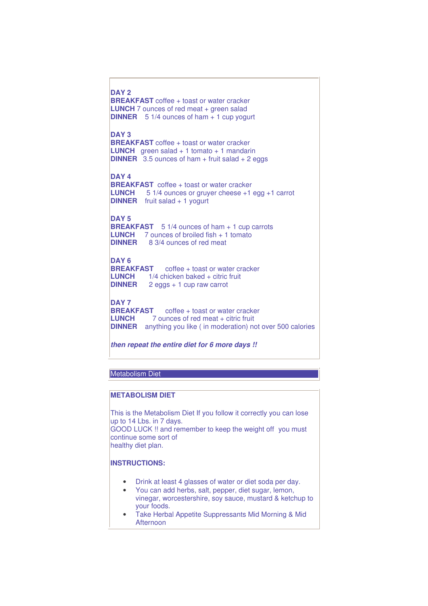#### **DAY 2**

**BREAKFAST** coffee + toast or water cracker **LUNCH** 7 ounces of red meat + green salad **DINNER**  $5 \frac{1}{4}$  ounces of ham  $\frac{1}{4}$  1 cup yogurt

### **DAY 3**

**BREAKFAST** coffee + toast or water cracker **LUNCH** green salad + 1 tomato + 1 mandarin **DINNER** 3.5 ounces of ham + fruit salad + 2 eggs

### **DAY 4**

**BREAKFAST** coffee + toast or water cracker<br>**LUNCH** 5 1/4 ounces or gruyer cheese +1 5 1/4 ounces or gruyer cheese +1 egg +1 carrot **DINNER** fruit salad + 1 yogurt

## **DAY 5**

**BREAKFAST** 5 1/4 ounces of ham + 1 cup carrots **LUNCH** 7 ounces of broiled fish + 1 tomato<br>**DINNER** 8 3/4 ounces of red meat **B** 3/4 ounces of red meat

#### **DAY 6** coffee + toast or water cracker **LUNCH** 1/4 chicken baked + citric fruit **DINNER** 2 eggs + 1 cup raw carrot

**DAY 7 BREAKFAST** coffee + toast or water cracker<br>**LUNCH** 7 ounces of red meat + citric fruit 7 ounces of red meat + citric fruit **DINNER** anything you like ( in moderation) not over 500 calories

*then repeat the entire diet for 6 more days !!*

### Metabolism Diet

### **METABOLISM DIET**

This is the Metabolism Diet If you follow it correctly you can lose up to 14 Lbs. in 7 days. GOOD LUCK !! and remember to keep the weight off you must continue some sort of

healthy diet plan.

#### **INSTRUCTIONS:**

- Drink at least 4 glasses of water or diet soda per day.
- You can add herbs, salt, pepper, diet sugar, lemon, vinegar, worcestershire, soy sauce, mustard & ketchup to your foods.
- Take Herbal Appetite Suppressants Mid Morning & Mid Afternoon